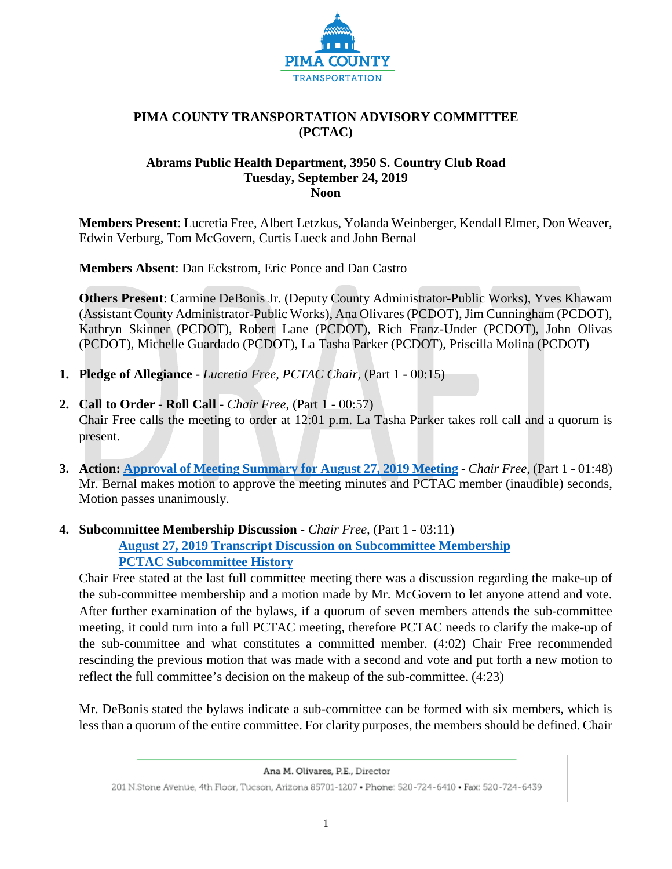

## **PIMA COUNTY TRANSPORTATION ADVISORY COMMITTEE (PCTAC)**

### **Abrams Public Health Department, 3950 S. Country Club Road Tuesday, September 24, 2019 Noon**

**Members Present**: Lucretia Free, Albert Letzkus, Yolanda Weinberger, Kendall Elmer, Don Weaver, Edwin Verburg, Tom McGovern, Curtis Lueck and John Bernal

**Members Absent**: Dan Eckstrom, Eric Ponce and Dan Castro

**Others Present**: Carmine DeBonis Jr. (Deputy County Administrator-Public Works), Yves Khawam (Assistant County Administrator-Public Works), Ana Olivares (PCDOT), Jim Cunningham (PCDOT), Kathryn Skinner (PCDOT), Robert Lane (PCDOT), Rich Franz-Under (PCDOT), John Olivas (PCDOT), Michelle Guardado (PCDOT), La Tasha Parker (PCDOT), Priscilla Molina (PCDOT)

- **1. Pledge of Allegiance -** *Lucretia Free, PCTAC Chair,* (Part 1 **-** 00:15)
- **2. Call to Order - Roll Call -** *Chair Free*, (Part 1 **-** 00:57) Chair Free calls the meeting to order at 12:01 p.m. La Tasha Parker takes roll call and a quorum is present.
- **3. Action: Approval [of Meeting Summary for August 27, 2019 Meeting](http://webcms.pima.gov/UserFiles/Servers/Server_6/File/Government/Transportation/TransportationAdvisoryCommittee/Minutes/20190827_%20PCTAC%20Meeting%20Mintues%20Summary%20-%20Final.pdf) -** *Chair Free*, (Part 1 01:48) Mr. Bernal makes motion to approve the meeting minutes and PCTAC member (inaudible) seconds, Motion passes unanimously.
- **4. Subcommittee Membership Discussion** *Chair Free,* (Part 1 **-** 03:11) **[August 27, 2019 Transcript Discussion on Subcommittee Membership](http://webcms.pima.gov/UserFiles/Servers/Server_6/File/Government/Transportation/TransportationAdvisoryCommittee/DocumentsTab/Sept%2024,%202019/August%2027%20Transcript%20for%20Subcommittee%20Membership.pdf) [PCTAC Subcommittee](http://webcms.pima.gov/UserFiles/Servers/Server_6/File/Government/Transportation/TransportationAdvisoryCommittee/DocumentsTab/Sept%2024,%202019/PCTAC%20Subcommittee%20Membership%20History.pdf) History**

Chair Free stated at the last full committee meeting there was a discussion regarding the make-up of the sub-committee membership and a motion made by Mr. McGovern to let anyone attend and vote. After further examination of the bylaws, if a quorum of seven members attends the sub-committee meeting, it could turn into a full PCTAC meeting, therefore PCTAC needs to clarify the make-up of the sub-committee and what constitutes a committed member. (4:02) Chair Free recommended rescinding the previous motion that was made with a second and vote and put forth a new motion to reflect the full committee's decision on the makeup of the sub-committee. (4:23)

Mr. DeBonis stated the bylaws indicate a sub-committee can be formed with six members, which is less than a quorum of the entire committee. For clarity purposes, the members should be defined. Chair

Ana M. Olivares, P.E., Director

<sup>201</sup> N.Stone Avenue, 4th Floor, Tucson, Arizona 85701-1207 . Phone: 520-724-6410 . Fax: 520-724-6439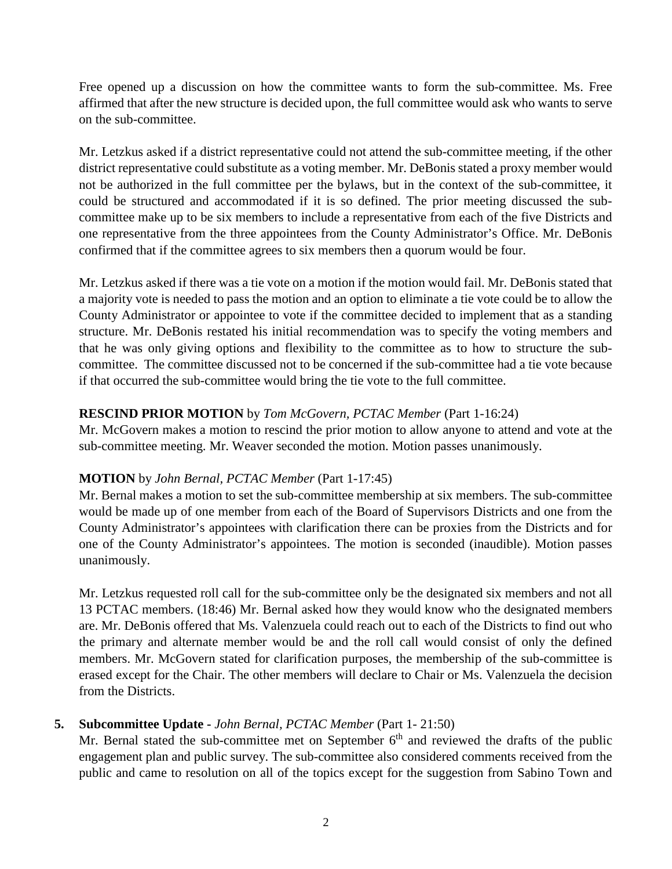Free opened up a discussion on how the committee wants to form the sub-committee. Ms. Free affirmed that after the new structure is decided upon, the full committee would ask who wants to serve on the sub-committee.

Mr. Letzkus asked if a district representative could not attend the sub-committee meeting, if the other district representative could substitute as a voting member. Mr. DeBonis stated a proxy member would not be authorized in the full committee per the bylaws, but in the context of the sub-committee, it could be structured and accommodated if it is so defined. The prior meeting discussed the subcommittee make up to be six members to include a representative from each of the five Districts and one representative from the three appointees from the County Administrator's Office. Mr. DeBonis confirmed that if the committee agrees to six members then a quorum would be four.

Mr. Letzkus asked if there was a tie vote on a motion if the motion would fail. Mr. DeBonis stated that a majority vote is needed to pass the motion and an option to eliminate a tie vote could be to allow the County Administrator or appointee to vote if the committee decided to implement that as a standing structure. Mr. DeBonis restated his initial recommendation was to specify the voting members and that he was only giving options and flexibility to the committee as to how to structure the subcommittee. The committee discussed not to be concerned if the sub-committee had a tie vote because if that occurred the sub-committee would bring the tie vote to the full committee.

# **RESCIND PRIOR MOTION** by *Tom McGovern, PCTAC Member* (Part 1-16:24)

Mr. McGovern makes a motion to rescind the prior motion to allow anyone to attend and vote at the sub-committee meeting. Mr. Weaver seconded the motion. Motion passes unanimously.

## **MOTION** by *John Bernal, PCTAC Member* (Part 1-17:45)

Mr. Bernal makes a motion to set the sub-committee membership at six members. The sub-committee would be made up of one member from each of the Board of Supervisors Districts and one from the County Administrator's appointees with clarification there can be proxies from the Districts and for one of the County Administrator's appointees. The motion is seconded (inaudible). Motion passes unanimously.

Mr. Letzkus requested roll call for the sub-committee only be the designated six members and not all 13 PCTAC members. (18:46) Mr. Bernal asked how they would know who the designated members are. Mr. DeBonis offered that Ms. Valenzuela could reach out to each of the Districts to find out who the primary and alternate member would be and the roll call would consist of only the defined members. Mr. McGovern stated for clarification purposes, the membership of the sub-committee is erased except for the Chair. The other members will declare to Chair or Ms. Valenzuela the decision from the Districts.

# **5. Subcommittee Update -** *John Bernal, PCTAC Member* (Part 1- 21:50)

Mr. Bernal stated the sub-committee met on September  $6<sup>th</sup>$  and reviewed the drafts of the public engagement plan and public survey. The sub-committee also considered comments received from the public and came to resolution on all of the topics except for the suggestion from Sabino Town and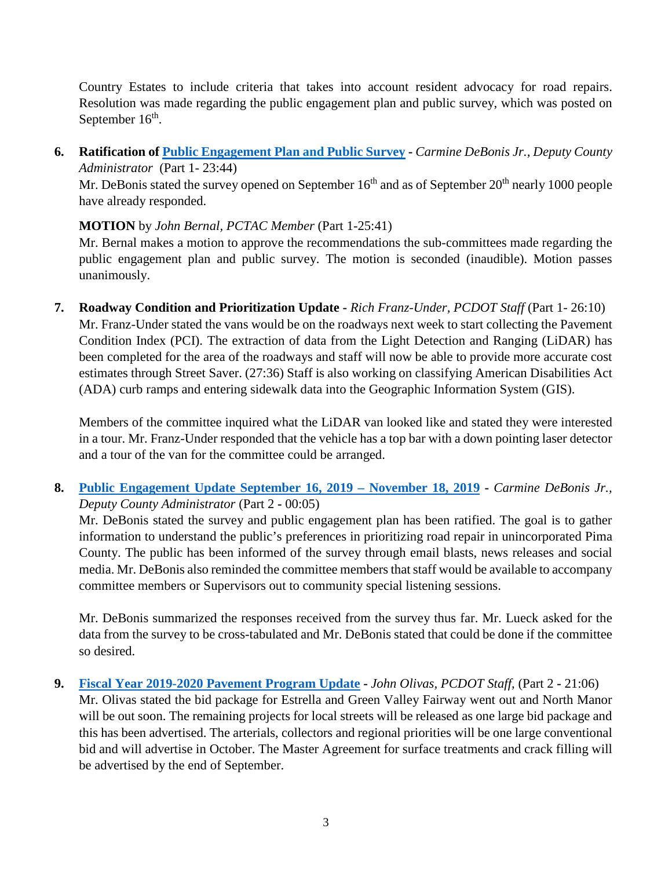Country Estates to include criteria that takes into account resident advocacy for road repairs. Resolution was made regarding the public engagement plan and public survey, which was posted on September  $16<sup>th</sup>$ .

**6. Ratification of [Public Engagement Plan](http://webcms.pima.gov/UserFiles/Servers/Server_6/File/Government/Transportation/TransportationAdvisoryCommittee/SubComm-Mtgs/Public%20Engagement%20Plan%20PTAC-090619.pdf) and [Public Survey](http://webcms.pima.gov/UserFiles/Servers/Server_6/File/Government/Transportation/TransportationAdvisoryCommittee/SubComm-Mtgs/PCTAC%20Public%20Input%20Survey.pdf) -** *Carmine DeBonis Jr., Deputy County Administrator* (Part 1- 23:44)

Mr. DeBonis stated the survey opened on September  $16<sup>th</sup>$  and as of September  $20<sup>th</sup>$  nearly 1000 people have already responded.

# **MOTION** by *John Bernal, PCTAC Member* (Part 1-25:41)

Mr. Bernal makes a motion to approve the recommendations the sub-committees made regarding the public engagement plan and public survey. The motion is seconded (inaudible). Motion passes unanimously.

**7. Roadway Condition and Prioritization Update -** *Rich Franz-Under, PCDOT Staff* (Part 1- 26:10) Mr. Franz-Under stated the vans would be on the roadways next week to start collecting the Pavement Condition Index (PCI). The extraction of data from the Light Detection and Ranging (LiDAR) has been completed for the area of the roadways and staff will now be able to provide more accurate cost estimates through Street Saver. (27:36) Staff is also working on classifying American Disabilities Act (ADA) curb ramps and entering sidewalk data into the Geographic Information System (GIS).

Members of the committee inquired what the LiDAR van looked like and stated they were interested in a tour. Mr. Franz-Under responded that the vehicle has a top bar with a down pointing laser detector and a tour of the van for the committee could be arranged.

**8. [Public Engagement Update](http://webcms.pima.gov/UserFiles/Servers/Server_6/File/Government/Transportation/TransportationAdvisoryCommittee/DocumentsTab/Sept%2024,%202019/PublicEngagementUpdate_Sept_dgedits.pdf) September 16, 2019 – November 18, 2019 -** *Carmine DeBonis Jr., Deputy County Administrator* (Part 2 **-** 00:05)

Mr. DeBonis stated the survey and public engagement plan has been ratified. The goal is to gather information to understand the public's preferences in prioritizing road repair in unincorporated Pima County. The public has been informed of the survey through email blasts, news releases and social media. Mr. DeBonis also reminded the committee members that staff would be available to accompany committee members or Supervisors out to community special listening sessions.

Mr. DeBonis summarized the responses received from the survey thus far. Mr. Lueck asked for the data from the survey to be cross-tabulated and Mr. DeBonis stated that could be done if the committee so desired.

**9. [Fiscal Year 2019-2020 Pavement Program Update](http://webcms.pima.gov/UserFiles/Servers/Server_6/File/Government/Transportation/TransportationAdvisoryCommittee/DocumentsTab/Sept%2024,%202019/PTAC%2020190924%20Pavement%20Program%20Update_v0.pdf) -** *John Olivas, PCDOT Staff,* (Part 2 **-** 21:06) Mr. Olivas stated the bid package for Estrella and Green Valley Fairway went out and North Manor will be out soon. The remaining projects for local streets will be released as one large bid package and this has been advertised. The arterials, collectors and regional priorities will be one large conventional bid and will advertise in October. The Master Agreement for surface treatments and crack filling will be advertised by the end of September.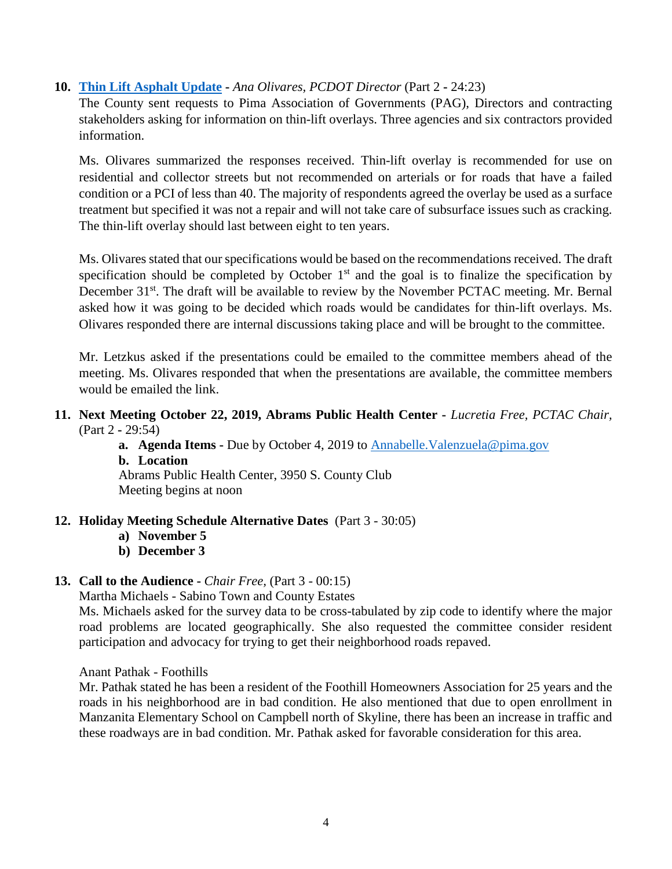## **10. [Thin Lift Asphalt Update](http://webcms.pima.gov/UserFiles/Servers/Server_6/File/Government/Transportation/TransportationAdvisoryCommittee/DocumentsTab/Sept%2024,%202019/ThinAsphaltStaffReport_092419.pdf) -** *Ana Olivares, PCDOT Director* (Part 2 **-** 24:23)

The County sent requests to Pima Association of Governments (PAG), Directors and contracting stakeholders asking for information on thin-lift overlays. Three agencies and six contractors provided information.

Ms. Olivares summarized the responses received. Thin-lift overlay is recommended for use on residential and collector streets but not recommended on arterials or for roads that have a failed condition or a PCI of less than 40. The majority of respondents agreed the overlay be used as a surface treatment but specified it was not a repair and will not take care of subsurface issues such as cracking. The thin-lift overlay should last between eight to ten years.

Ms. Olivares stated that our specifications would be based on the recommendations received. The draft specification should be completed by October  $1<sup>st</sup>$  and the goal is to finalize the specification by December 31<sup>st</sup>. The draft will be available to review by the November PCTAC meeting. Mr. Bernal asked how it was going to be decided which roads would be candidates for thin-lift overlays. Ms. Olivares responded there are internal discussions taking place and will be brought to the committee.

Mr. Letzkus asked if the presentations could be emailed to the committee members ahead of the meeting. Ms. Olivares responded that when the presentations are available, the committee members would be emailed the link.

- **11. Next Meeting October 22, 2019, Abrams Public Health Center -** *Lucretia Free, PCTAC Chair,* (Part 2 **-** 29:54)
	- **a. Agenda Items -** Due by October 4, 2019 to [Annabelle.Valenzuela@pima.gov](mailto:Annabelle.Valenzuela@pima.gov)
	- **b. Location**

Abrams Public Health Center, 3950 S. County Club Meeting begins at noon

## **12. Holiday Meeting Schedule Alternative Dates** (Part 3 - 30:05)

- **a) November 5**
- **b) December 3**

### **13. Call to the Audience -** *Chair Free,* (Part 3 - 00:15)

### Martha Michaels - Sabino Town and County Estates

Ms. Michaels asked for the survey data to be cross-tabulated by zip code to identify where the major road problems are located geographically. She also requested the committee consider resident participation and advocacy for trying to get their neighborhood roads repaved.

Anant Pathak - Foothills

Mr. Pathak stated he has been a resident of the Foothill Homeowners Association for 25 years and the roads in his neighborhood are in bad condition. He also mentioned that due to open enrollment in Manzanita Elementary School on Campbell north of Skyline, there has been an increase in traffic and these roadways are in bad condition. Mr. Pathak asked for favorable consideration for this area.